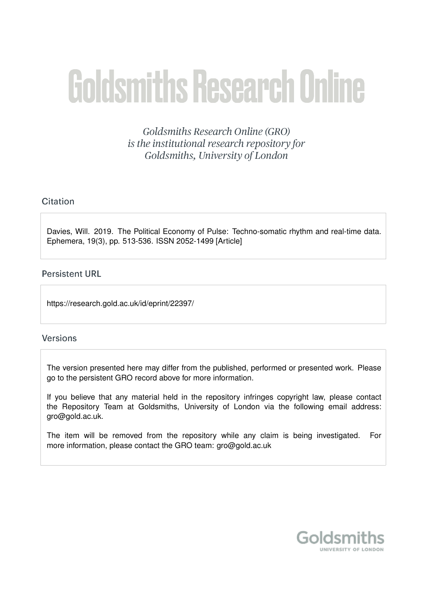# **Goldsmiths Research Online**

Goldsmiths Research Online (GRO) is the institutional research repository for Goldsmiths, University of London

# Citation

Davies, Will. 2019. The Political Economy of Pulse: Techno-somatic rhythm and real-time data. Ephemera, 19(3), pp. 513-536. ISSN 2052-1499 [Article]

## **Persistent URL**

https://research.gold.ac.uk/id/eprint/22397/

## **Versions**

The version presented here may differ from the published, performed or presented work. Please go to the persistent GRO record above for more information.

If you believe that any material held in the repository infringes copyright law, please contact the Repository Team at Goldsmiths, University of London via the following email address: gro@gold.ac.uk.

The item will be removed from the repository while any claim is being investigated. For more information, please contact the GRO team: gro@gold.ac.uk

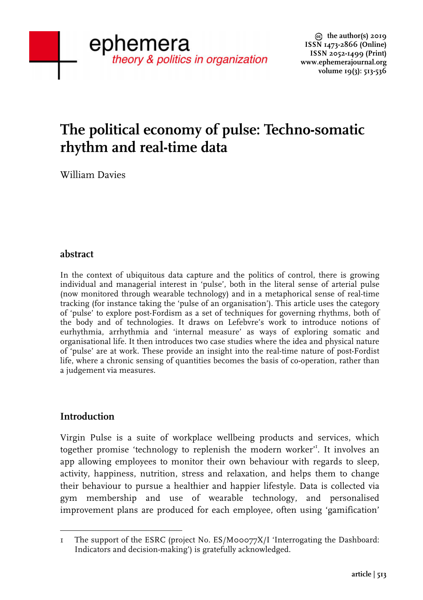# **The political economy of pulse: Techno-somatic rhythm and real-time data**

William Davies

## **abstract**

In the context of ubiquitous data capture and the politics of control, there is growing individual and managerial interest in 'pulse', both in the literal sense of arterial pulse (now monitored through wearable technology) and in a metaphorical sense of real-time tracking (for instance taking the 'pulse of an organisation'). This article uses the category of 'pulse' to explore post-Fordism as a set of techniques for governing rhythms, both of the body and of technologies. It draws on Lefebvre's work to introduce notions of eurhythmia, arrhythmia and 'internal measure' as ways of exploring somatic and organisational life. It then introduces two case studies where the idea and physical nature of 'pulse' are at work. These provide an insight into the real-time nature of post-Fordist life, where a chronic sensing of quantities becomes the basis of co-operation, rather than a judgement via measures.

## **Introduction**

Virgin Pulse is a suite of workplace wellbeing products and services, which together promise 'technology to replenish the modern worker'<sup>1</sup>. It involves an app allowing employees to monitor their own behaviour with regards to sleep, activity, happiness, nutrition, stress and relaxation, and helps them to change their behaviour to pursue a healthier and happier lifestyle. Data is collected via gym membership and use of wearable technology, and personalised improvement plans are produced for each employee, often using 'gamification'

 1 The support of the ESRC (project No. ES/M00077X/I 'Interrogating the Dashboard: Indicators and decision-making') is gratefully acknowledged.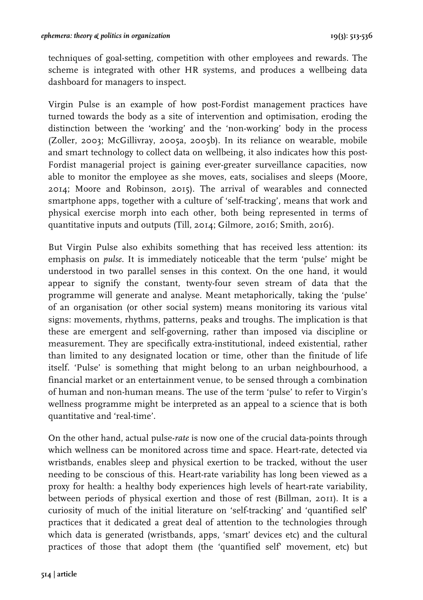techniques of goal-setting, competition with other employees and rewards. The scheme is integrated with other HR systems, and produces a wellbeing data dashboard for managers to inspect.

Virgin Pulse is an example of how post-Fordist management practices have turned towards the body as a site of intervention and optimisation, eroding the distinction between the 'working' and the 'non-working' body in the process (Zoller, 2003; McGillivray, 2005a, 2005b). In its reliance on wearable, mobile and smart technology to collect data on wellbeing, it also indicates how this post-Fordist managerial project is gaining ever-greater surveillance capacities, now able to monitor the employee as she moves, eats, socialises and sleeps (Moore, 2014; Moore and Robinson, 2015). The arrival of wearables and connected smartphone apps, together with a culture of 'self-tracking', means that work and physical exercise morph into each other, both being represented in terms of quantitative inputs and outputs (Till, 2014; Gilmore, 2016; Smith, 2016).

But Virgin Pulse also exhibits something that has received less attention: its emphasis on *pulse*. It is immediately noticeable that the term 'pulse' might be understood in two parallel senses in this context. On the one hand, it would appear to signify the constant, twenty-four seven stream of data that the programme will generate and analyse. Meant metaphorically, taking the 'pulse' of an organisation (or other social system) means monitoring its various vital signs: movements, rhythms, patterns, peaks and troughs. The implication is that these are emergent and self-governing, rather than imposed via discipline or measurement. They are specifically extra-institutional, indeed existential, rather than limited to any designated location or time, other than the finitude of life itself. 'Pulse' is something that might belong to an urban neighbourhood, a financial market or an entertainment venue, to be sensed through a combination of human and non-human means. The use of the term 'pulse' to refer to Virgin's wellness programme might be interpreted as an appeal to a science that is both quantitative and 'real-time'.

On the other hand, actual pulse-*rate* is now one of the crucial data-points through which wellness can be monitored across time and space. Heart-rate, detected via wristbands, enables sleep and physical exertion to be tracked, without the user needing to be conscious of this. Heart-rate variability has long been viewed as a proxy for health: a healthy body experiences high levels of heart-rate variability, between periods of physical exertion and those of rest (Billman, 2011). It is a curiosity of much of the initial literature on 'self-tracking' and 'quantified self' practices that it dedicated a great deal of attention to the technologies through which data is generated (wristbands, apps, 'smart' devices etc) and the cultural practices of those that adopt them (the 'quantified self' movement, etc) but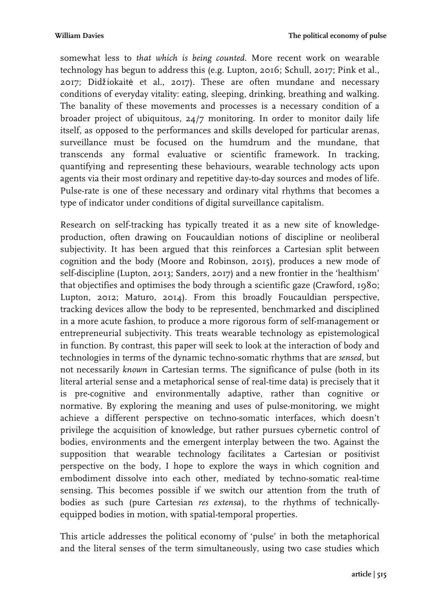somewhat less to *that which is being counted*. More recent work on wearable technology has begun to address this (e.g. Lupton, 2016; Schull, 2017; Pink et al., 2017; Didžiokaitė et al., 2017). These are often mundane and necessary conditions of everyday vitality: eating, sleeping, drinking, breathing and walking. The banality of these movements and processes is a necessary condition of a broader project of ubiquitous, 24/7 monitoring. In order to monitor daily life itself, as opposed to the performances and skills developed for particular arenas, surveillance must be focused on the humdrum and the mundane, that transcends any formal evaluative or scientific framework. In tracking, quantifying and representing these behaviours, wearable technology acts upon agents via their most ordinary and repetitive day-to-day sources and modes of life. Pulse-rate is one of these necessary and ordinary vital rhythms that becomes a type of indicator under conditions of digital surveillance capitalism.

Research on self-tracking has typically treated it as a new site of knowledgeproduction, often drawing on Foucauldian notions of discipline or neoliberal subjectivity. It has been argued that this reinforces a Cartesian split between cognition and the body (Moore and Robinson, 2015), produces a new mode of self-discipline (Lupton, 2013; Sanders, 2017) and a new frontier in the 'healthism' that objectifies and optimises the body through a scientific gaze (Crawford, 1980; Lupton, 2012; Maturo, 2014). From this broadly Foucauldian perspective, tracking devices allow the body to be represented, benchmarked and disciplined in a more acute fashion, to produce a more rigorous form of self-management or entrepreneurial subjectivity. This treats wearable technology as epistemological in function. By contrast, this paper will seek to look at the interaction of body and technologies in terms of the dynamic techno-somatic rhythms that are *sensed*, but not necessarily *known* in Cartesian terms. The significance of pulse (both in its literal arterial sense and a metaphorical sense of real-time data) is precisely that it is pre-cognitive and environmentally adaptive, rather than cognitive or normative. By exploring the meaning and uses of pulse-monitoring, we might achieve a different perspective on techno-somatic interfaces, which doesn't privilege the acquisition of knowledge, but rather pursues cybernetic control of bodies, environments and the emergent interplay between the two. Against the supposition that wearable technology facilitates a Cartesian or positivist perspective on the body, I hope to explore the ways in which cognition and embodiment dissolve into each other, mediated by techno-somatic real-time sensing. This becomes possible if we switch our attention from the truth of bodies as such (pure Cartesian *res extensa*), to the rhythms of technicallyequipped bodies in motion, with spatial-temporal properties.

This article addresses the political economy of 'pulse' in both the metaphorical and the literal senses of the term simultaneously, using two case studies which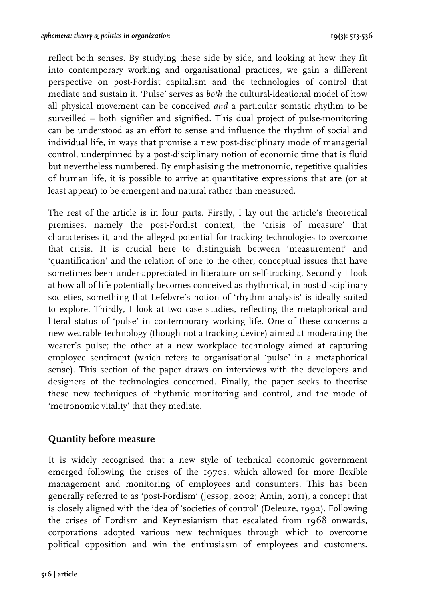reflect both senses. By studying these side by side, and looking at how they fit into contemporary working and organisational practices, we gain a different perspective on post-Fordist capitalism and the technologies of control that mediate and sustain it. 'Pulse' serves as *both* the cultural-ideational model of how all physical movement can be conceived *and* a particular somatic rhythm to be surveilled – both signifier and signified. This dual project of pulse-monitoring can be understood as an effort to sense and influence the rhythm of social and individual life, in ways that promise a new post-disciplinary mode of managerial control, underpinned by a post-disciplinary notion of economic time that is fluid but nevertheless numbered. By emphasising the metronomic, repetitive qualities of human life, it is possible to arrive at quantitative expressions that are (or at least appear) to be emergent and natural rather than measured.

The rest of the article is in four parts. Firstly, I lay out the article's theoretical premises, namely the post-Fordist context, the 'crisis of measure' that characterises it, and the alleged potential for tracking technologies to overcome that crisis. It is crucial here to distinguish between 'measurement' and 'quantification' and the relation of one to the other, conceptual issues that have sometimes been under-appreciated in literature on self-tracking. Secondly I look at how all of life potentially becomes conceived as rhythmical, in post-disciplinary societies, something that Lefebvre's notion of 'rhythm analysis' is ideally suited to explore. Thirdly, I look at two case studies, reflecting the metaphorical and literal status of 'pulse' in contemporary working life. One of these concerns a new wearable technology (though not a tracking device) aimed at moderating the wearer's pulse; the other at a new workplace technology aimed at capturing employee sentiment (which refers to organisational 'pulse' in a metaphorical sense). This section of the paper draws on interviews with the developers and designers of the technologies concerned. Finally, the paper seeks to theorise these new techniques of rhythmic monitoring and control, and the mode of 'metronomic vitality' that they mediate.

#### **Quantity before measure**

It is widely recognised that a new style of technical economic government emerged following the crises of the 1970s, which allowed for more flexible management and monitoring of employees and consumers. This has been generally referred to as 'post-Fordism' (Jessop, 2002; Amin, 2011), a concept that is closely aligned with the idea of 'societies of control' (Deleuze, 1992). Following the crises of Fordism and Keynesianism that escalated from 1968 onwards, corporations adopted various new techniques through which to overcome political opposition and win the enthusiasm of employees and customers.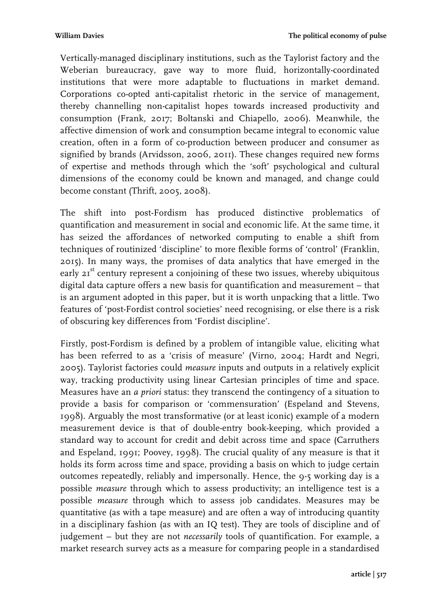Vertically-managed disciplinary institutions, such as the Taylorist factory and the Weberian bureaucracy, gave way to more fluid, horizontally-coordinated institutions that were more adaptable to fluctuations in market demand. Corporations co-opted anti-capitalist rhetoric in the service of management, thereby channelling non-capitalist hopes towards increased productivity and consumption (Frank, 2017; Boltanski and Chiapello, 2006). Meanwhile, the affective dimension of work and consumption became integral to economic value creation, often in a form of co-production between producer and consumer as signified by brands (Arvidsson, 2006, 2011). These changes required new forms of expertise and methods through which the 'soft' psychological and cultural dimensions of the economy could be known and managed, and change could become constant (Thrift, 2005, 2008).

The shift into post-Fordism has produced distinctive problematics of quantification and measurement in social and economic life. At the same time, it has seized the affordances of networked computing to enable a shift from techniques of routinized 'discipline' to more flexible forms of 'control' (Franklin, 2015). In many ways, the promises of data analytics that have emerged in the early  $2I<sup>st</sup>$  century represent a conjoining of these two issues, whereby ubiquitous digital data capture offers a new basis for quantification and measurement – that is an argument adopted in this paper, but it is worth unpacking that a little. Two features of 'post-Fordist control societies' need recognising, or else there is a risk of obscuring key differences from 'Fordist discipline'.

Firstly, post-Fordism is defined by a problem of intangible value, eliciting what has been referred to as a 'crisis of measure' (Virno, 2004; Hardt and Negri, 2005). Taylorist factories could *measure* inputs and outputs in a relatively explicit way, tracking productivity using linear Cartesian principles of time and space. Measures have an *a priori* status: they transcend the contingency of a situation to provide a basis for comparison or 'commensuration' (Espeland and Stevens, 1998). Arguably the most transformative (or at least iconic) example of a modern measurement device is that of double-entry book-keeping, which provided a standard way to account for credit and debit across time and space (Carruthers and Espeland, 1991; Poovey, 1998). The crucial quality of any measure is that it holds its form across time and space, providing a basis on which to judge certain outcomes repeatedly, reliably and impersonally. Hence, the 9-5 working day is a possible *measure* through which to assess productivity; an intelligence test is a possible *measure* through which to assess job candidates. Measures may be quantitative (as with a tape measure) and are often a way of introducing quantity in a disciplinary fashion (as with an IQ test). They are tools of discipline and of judgement – but they are not *necessarily* tools of quantification. For example, a market research survey acts as a measure for comparing people in a standardised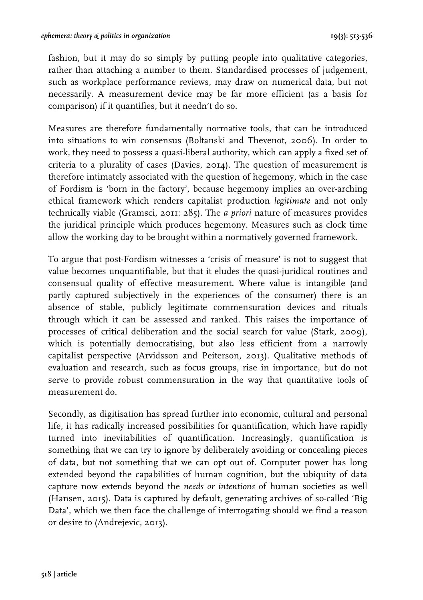fashion, but it may do so simply by putting people into qualitative categories, rather than attaching a number to them. Standardised processes of judgement, such as workplace performance reviews, may draw on numerical data, but not necessarily. A measurement device may be far more efficient (as a basis for comparison) if it quantifies, but it needn't do so.

Measures are therefore fundamentally normative tools, that can be introduced into situations to win consensus (Boltanski and Thevenot, 2006). In order to work, they need to possess a quasi-liberal authority, which can apply a fixed set of criteria to a plurality of cases (Davies, 2014). The question of measurement is therefore intimately associated with the question of hegemony, which in the case of Fordism is 'born in the factory', because hegemony implies an over-arching ethical framework which renders capitalist production *legitimate* and not only technically viable (Gramsci, 2011: 285). The *a priori* nature of measures provides the juridical principle which produces hegemony. Measures such as clock time allow the working day to be brought within a normatively governed framework.

To argue that post-Fordism witnesses a 'crisis of measure' is not to suggest that value becomes unquantifiable, but that it eludes the quasi-juridical routines and consensual quality of effective measurement. Where value is intangible (and partly captured subjectively in the experiences of the consumer) there is an absence of stable, publicly legitimate commensuration devices and rituals through which it can be assessed and ranked. This raises the importance of processes of critical deliberation and the social search for value (Stark, 2009), which is potentially democratising, but also less efficient from a narrowly capitalist perspective (Arvidsson and Peiterson, 2013). Qualitative methods of evaluation and research, such as focus groups, rise in importance, but do not serve to provide robust commensuration in the way that quantitative tools of measurement do.

Secondly, as digitisation has spread further into economic, cultural and personal life, it has radically increased possibilities for quantification, which have rapidly turned into inevitabilities of quantification. Increasingly, quantification is something that we can try to ignore by deliberately avoiding or concealing pieces of data, but not something that we can opt out of. Computer power has long extended beyond the capabilities of human cognition, but the ubiquity of data capture now extends beyond the *needs or intentions* of human societies as well (Hansen, 2015). Data is captured by default, generating archives of so-called 'Big Data', which we then face the challenge of interrogating should we find a reason or desire to (Andrejevic, 2013).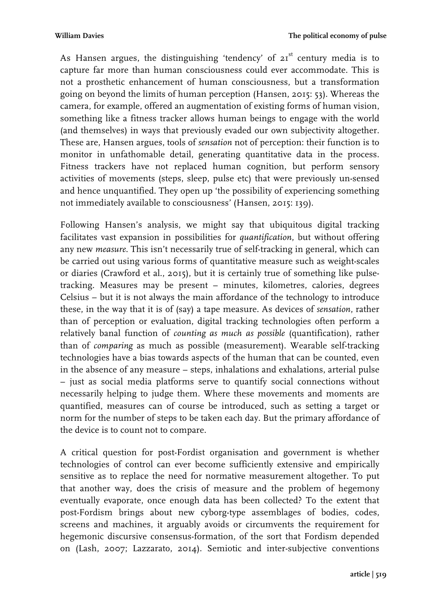As Hansen argues, the distinguishing 'tendency' of  $2I<sup>st</sup>$  century media is to capture far more than human consciousness could ever accommodate. This is not a prosthetic enhancement of human consciousness, but a transformation going on beyond the limits of human perception (Hansen, 2015: 53). Whereas the camera, for example, offered an augmentation of existing forms of human vision, something like a fitness tracker allows human beings to engage with the world (and themselves) in ways that previously evaded our own subjectivity altogether. These are, Hansen argues, tools of *sensation* not of perception: their function is to monitor in unfathomable detail, generating quantitative data in the process. Fitness trackers have not replaced human cognition, but perform sensory activities of movements (steps, sleep, pulse etc) that were previously un-sensed and hence unquantified. They open up 'the possibility of experiencing something not immediately available to consciousness' (Hansen, 2015: 139).

Following Hansen's analysis, we might say that ubiquitous digital tracking facilitates vast expansion in possibilities for *quantification*, but without offering any new *measure*. This isn't necessarily true of self-tracking in general, which can be carried out using various forms of quantitative measure such as weight-scales or diaries (Crawford et al., 2015), but it is certainly true of something like pulsetracking. Measures may be present – minutes, kilometres, calories, degrees Celsius – but it is not always the main affordance of the technology to introduce these, in the way that it is of (say) a tape measure. As devices of *sensation*, rather than of perception or evaluation, digital tracking technologies often perform a relatively banal function of *counting as much as possible* (quantification), rather than of *comparing* as much as possible (measurement). Wearable self-tracking technologies have a bias towards aspects of the human that can be counted, even in the absence of any measure – steps, inhalations and exhalations, arterial pulse – just as social media platforms serve to quantify social connections without necessarily helping to judge them. Where these movements and moments are quantified, measures can of course be introduced, such as setting a target or norm for the number of steps to be taken each day. But the primary affordance of the device is to count not to compare.

A critical question for post-Fordist organisation and government is whether technologies of control can ever become sufficiently extensive and empirically sensitive as to replace the need for normative measurement altogether. To put that another way, does the crisis of measure and the problem of hegemony eventually evaporate, once enough data has been collected? To the extent that post-Fordism brings about new cyborg-type assemblages of bodies, codes, screens and machines, it arguably avoids or circumvents the requirement for hegemonic discursive consensus-formation, of the sort that Fordism depended on (Lash, 2007; Lazzarato, 2014). Semiotic and inter-subjective conventions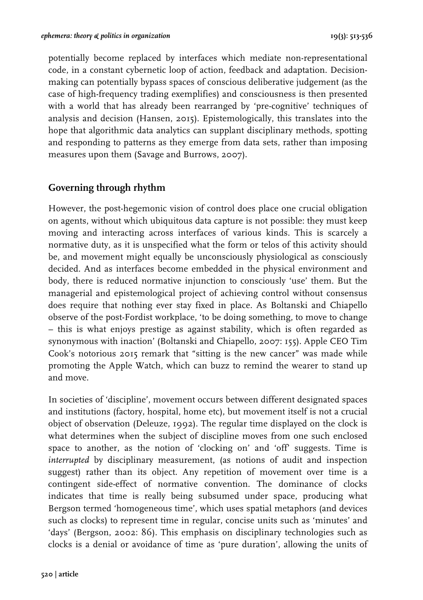potentially become replaced by interfaces which mediate non-representational code, in a constant cybernetic loop of action, feedback and adaptation. Decisionmaking can potentially bypass spaces of conscious deliberative judgement (as the case of high-frequency trading exemplifies) and consciousness is then presented with a world that has already been rearranged by 'pre-cognitive' techniques of analysis and decision (Hansen, 2015). Epistemologically, this translates into the hope that algorithmic data analytics can supplant disciplinary methods, spotting and responding to patterns as they emerge from data sets, rather than imposing measures upon them (Savage and Burrows, 2007).

## **Governing through rhythm**

However, the post-hegemonic vision of control does place one crucial obligation on agents, without which ubiquitous data capture is not possible: they must keep moving and interacting across interfaces of various kinds. This is scarcely a normative duty, as it is unspecified what the form or telos of this activity should be, and movement might equally be unconsciously physiological as consciously decided. And as interfaces become embedded in the physical environment and body, there is reduced normative injunction to consciously 'use' them. But the managerial and epistemological project of achieving control without consensus does require that nothing ever stay fixed in place. As Boltanski and Chiapello observe of the post-Fordist workplace, 'to be doing something, to move to change – this is what enjoys prestige as against stability, which is often regarded as synonymous with inaction' (Boltanski and Chiapello, 2007: 155). Apple CEO Tim Cook's notorious 2015 remark that "sitting is the new cancer" was made while promoting the Apple Watch, which can buzz to remind the wearer to stand up and move.

In societies of 'discipline', movement occurs between different designated spaces and institutions (factory, hospital, home etc), but movement itself is not a crucial object of observation (Deleuze, 1992). The regular time displayed on the clock is what determines when the subject of discipline moves from one such enclosed space to another, as the notion of 'clocking on' and 'off' suggests. Time is *interrupted* by disciplinary measurement, (as notions of audit and inspection suggest) rather than its object. Any repetition of movement over time is a contingent side-effect of normative convention. The dominance of clocks indicates that time is really being subsumed under space, producing what Bergson termed 'homogeneous time', which uses spatial metaphors (and devices such as clocks) to represent time in regular, concise units such as 'minutes' and 'days' (Bergson, 2002: 86). This emphasis on disciplinary technologies such as clocks is a denial or avoidance of time as 'pure duration', allowing the units of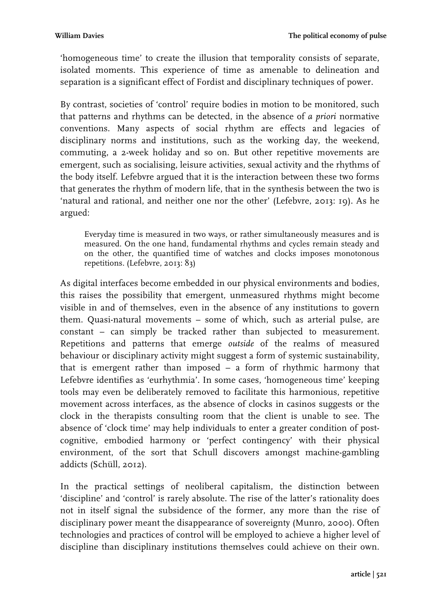'homogeneous time' to create the illusion that temporality consists of separate, isolated moments. This experience of time as amenable to delineation and separation is a significant effect of Fordist and disciplinary techniques of power.

By contrast, societies of 'control' require bodies in motion to be monitored, such that patterns and rhythms can be detected, in the absence of *a priori* normative conventions. Many aspects of social rhythm are effects and legacies of disciplinary norms and institutions, such as the working day, the weekend, commuting, a 2-week holiday and so on. But other repetitive movements are emergent, such as socialising, leisure activities, sexual activity and the rhythms of the body itself. Lefebvre argued that it is the interaction between these two forms that generates the rhythm of modern life, that in the synthesis between the two is 'natural and rational, and neither one nor the other' (Lefebvre, 2013: 19). As he argued:

Everyday time is measured in two ways, or rather simultaneously measures and is measured. On the one hand, fundamental rhythms and cycles remain steady and on the other, the quantified time of watches and clocks imposes monotonous repetitions. (Lefebvre, 2013: 83)

As digital interfaces become embedded in our physical environments and bodies, this raises the possibility that emergent, unmeasured rhythms might become visible in and of themselves, even in the absence of any institutions to govern them. Quasi-natural movements – some of which, such as arterial pulse, are constant – can simply be tracked rather than subjected to measurement. Repetitions and patterns that emerge *outside* of the realms of measured behaviour or disciplinary activity might suggest a form of systemic sustainability, that is emergent rather than imposed – a form of rhythmic harmony that Lefebvre identifies as 'eurhythmia'. In some cases, 'homogeneous time' keeping tools may even be deliberately removed to facilitate this harmonious, repetitive movement across interfaces, as the absence of clocks in casinos suggests or the clock in the therapists consulting room that the client is unable to see. The absence of 'clock time' may help individuals to enter a greater condition of postcognitive, embodied harmony or 'perfect contingency' with their physical environment, of the sort that Schull discovers amongst machine-gambling addicts (Schüll, 2012).

In the practical settings of neoliberal capitalism, the distinction between 'discipline' and 'control' is rarely absolute. The rise of the latter's rationality does not in itself signal the subsidence of the former, any more than the rise of disciplinary power meant the disappearance of sovereignty (Munro, 2000). Often technologies and practices of control will be employed to achieve a higher level of discipline than disciplinary institutions themselves could achieve on their own.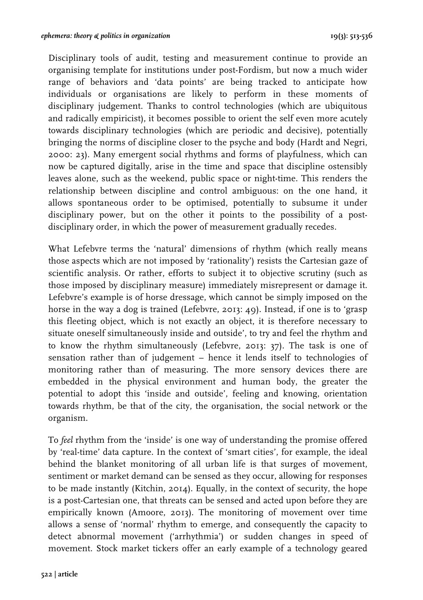Disciplinary tools of audit, testing and measurement continue to provide an organising template for institutions under post-Fordism, but now a much wider range of behaviors and 'data points' are being tracked to anticipate how individuals or organisations are likely to perform in these moments of disciplinary judgement. Thanks to control technologies (which are ubiquitous and radically empiricist), it becomes possible to orient the self even more acutely towards disciplinary technologies (which are periodic and decisive), potentially bringing the norms of discipline closer to the psyche and body (Hardt and Negri, 2000: 23). Many emergent social rhythms and forms of playfulness, which can now be captured digitally, arise in the time and space that discipline ostensibly leaves alone, such as the weekend, public space or night-time. This renders the relationship between discipline and control ambiguous: on the one hand, it allows spontaneous order to be optimised, potentially to subsume it under disciplinary power, but on the other it points to the possibility of a postdisciplinary order, in which the power of measurement gradually recedes.

What Lefebvre terms the 'natural' dimensions of rhythm (which really means those aspects which are not imposed by 'rationality') resists the Cartesian gaze of scientific analysis. Or rather, efforts to subject it to objective scrutiny (such as those imposed by disciplinary measure) immediately misrepresent or damage it. Lefebvre's example is of horse dressage, which cannot be simply imposed on the horse in the way a dog is trained (Lefebvre, 2013: 49). Instead, if one is to 'grasp this fleeting object, which is not exactly an object, it is therefore necessary to situate oneself simultaneously inside and outside', to try and feel the rhythm and to know the rhythm simultaneously (Lefebvre, 2013: 37). The task is one of sensation rather than of judgement – hence it lends itself to technologies of monitoring rather than of measuring. The more sensory devices there are embedded in the physical environment and human body, the greater the potential to adopt this 'inside and outside', feeling and knowing, orientation towards rhythm, be that of the city, the organisation, the social network or the organism.

To *feel* rhythm from the 'inside' is one way of understanding the promise offered by 'real-time' data capture. In the context of 'smart cities', for example, the ideal behind the blanket monitoring of all urban life is that surges of movement, sentiment or market demand can be sensed as they occur, allowing for responses to be made instantly (Kitchin, 2014). Equally, in the context of security, the hope is a post-Cartesian one, that threats can be sensed and acted upon before they are empirically known (Amoore, 2013). The monitoring of movement over time allows a sense of 'normal' rhythm to emerge, and consequently the capacity to detect abnormal movement ('arrhythmia') or sudden changes in speed of movement. Stock market tickers offer an early example of a technology geared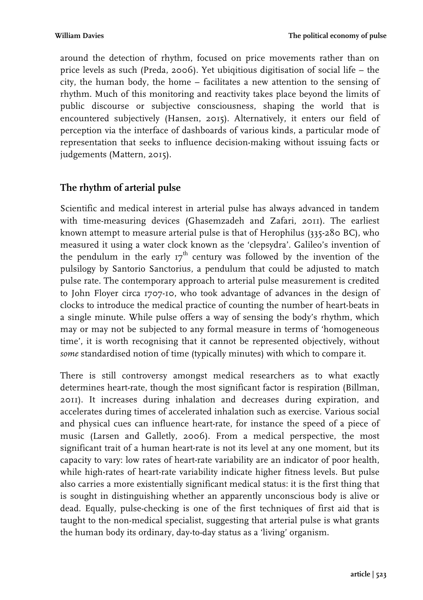around the detection of rhythm, focused on price movements rather than on price levels as such (Preda, 2006). Yet ubiqitious digitisation of social life – the city, the human body, the home – facilitates a new attention to the sensing of rhythm. Much of this monitoring and reactivity takes place beyond the limits of public discourse or subjective consciousness, shaping the world that is encountered subjectively (Hansen, 2015). Alternatively, it enters our field of perception via the interface of dashboards of various kinds, a particular mode of representation that seeks to influence decision-making without issuing facts or judgements (Mattern, 2015).

# **The rhythm of arterial pulse**

Scientific and medical interest in arterial pulse has always advanced in tandem with time-measuring devices (Ghasemzadeh and Zafari, 2011). The earliest known attempt to measure arterial pulse is that of Herophilus (335-280 BC), who measured it using a water clock known as the 'clepsydra'. Galileo's invention of the pendulum in the early  $17<sup>th</sup>$  century was followed by the invention of the pulsilogy by Santorio Sanctorius, a pendulum that could be adjusted to match pulse rate. The contemporary approach to arterial pulse measurement is credited to John Floyer circa 1707-10, who took advantage of advances in the design of clocks to introduce the medical practice of counting the number of heart-beats in a single minute. While pulse offers a way of sensing the body's rhythm, which may or may not be subjected to any formal measure in terms of 'homogeneous time', it is worth recognising that it cannot be represented objectively, without *some* standardised notion of time (typically minutes) with which to compare it.

There is still controversy amongst medical researchers as to what exactly determines heart-rate, though the most significant factor is respiration (Billman, 2011). It increases during inhalation and decreases during expiration, and accelerates during times of accelerated inhalation such as exercise. Various social and physical cues can influence heart-rate, for instance the speed of a piece of music (Larsen and Galletly, 2006). From a medical perspective, the most significant trait of a human heart-rate is not its level at any one moment, but its capacity to vary: low rates of heart-rate variability are an indicator of poor health, while high-rates of heart-rate variability indicate higher fitness levels. But pulse also carries a more existentially significant medical status: it is the first thing that is sought in distinguishing whether an apparently unconscious body is alive or dead. Equally, pulse-checking is one of the first techniques of first aid that is taught to the non-medical specialist, suggesting that arterial pulse is what grants the human body its ordinary, day-to-day status as a 'living' organism.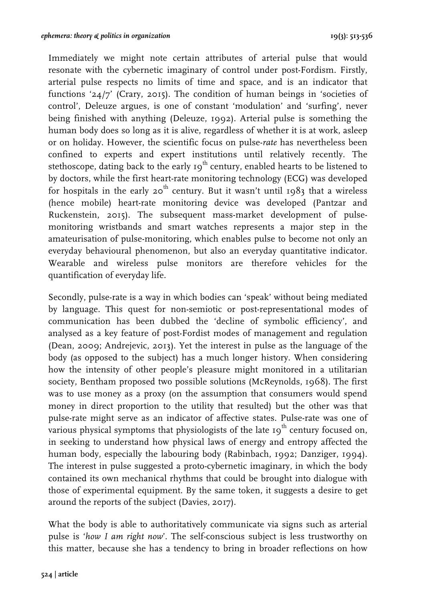Immediately we might note certain attributes of arterial pulse that would resonate with the cybernetic imaginary of control under post-Fordism. Firstly, arterial pulse respects no limits of time and space, and is an indicator that functions '24/7' (Crary, 2015). The condition of human beings in 'societies of control', Deleuze argues, is one of constant 'modulation' and 'surfing', never being finished with anything (Deleuze, 1992). Arterial pulse is something the human body does so long as it is alive, regardless of whether it is at work, asleep or on holiday. However, the scientific focus on pulse-*rate* has nevertheless been confined to experts and expert institutions until relatively recently. The stethoscope, dating back to the early  $19<sup>th</sup>$  century, enabled hearts to be listened to by doctors, while the first heart-rate monitoring technology (ECG) was developed for hospitals in the early  $20^{th}$  century. But it wasn't until 1983 that a wireless (hence mobile) heart-rate monitoring device was developed (Pantzar and Ruckenstein, 2015). The subsequent mass-market development of pulsemonitoring wristbands and smart watches represents a major step in the amateurisation of pulse-monitoring, which enables pulse to become not only an everyday behavioural phenomenon, but also an everyday quantitative indicator. Wearable and wireless pulse monitors are therefore vehicles for the quantification of everyday life.

Secondly, pulse-rate is a way in which bodies can 'speak' without being mediated by language. This quest for non-semiotic or post-representational modes of communication has been dubbed the 'decline of symbolic efficiency', and analysed as a key feature of post-Fordist modes of management and regulation (Dean, 2009; Andrejevic, 2013). Yet the interest in pulse as the language of the body (as opposed to the subject) has a much longer history. When considering how the intensity of other people's pleasure might monitored in a utilitarian society, Bentham proposed two possible solutions (McReynolds, 1968). The first was to use money as a proxy (on the assumption that consumers would spend money in direct proportion to the utility that resulted) but the other was that pulse-rate might serve as an indicator of affective states. Pulse-rate was one of various physical symptoms that physiologists of the late  $19<sup>th</sup>$  century focused on, in seeking to understand how physical laws of energy and entropy affected the human body, especially the labouring body (Rabinbach, 1992; Danziger, 1994). The interest in pulse suggested a proto-cybernetic imaginary, in which the body contained its own mechanical rhythms that could be brought into dialogue with those of experimental equipment. By the same token, it suggests a desire to get around the reports of the subject (Davies, 2017).

What the body is able to authoritatively communicate via signs such as arterial pulse is '*how I am right now*'. The self-conscious subject is less trustworthy on this matter, because she has a tendency to bring in broader reflections on how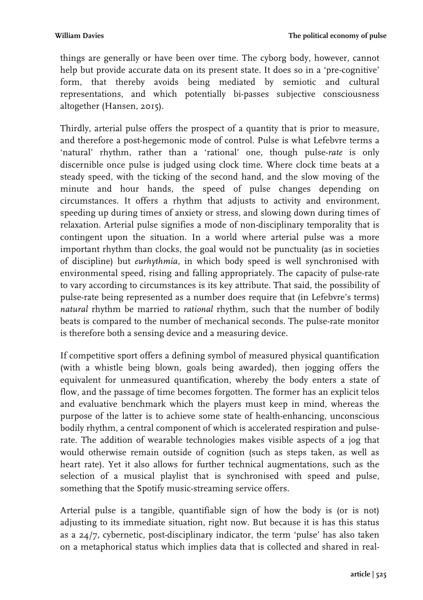things are generally or have been over time. The cyborg body, however, cannot help but provide accurate data on its present state. It does so in a 'pre-cognitive' form, that thereby avoids being mediated by semiotic and cultural representations, and which potentially bi-passes subjective consciousness altogether (Hansen, 2015).

Thirdly, arterial pulse offers the prospect of a quantity that is prior to measure, and therefore a post-hegemonic mode of control. Pulse is what Lefebvre terms a 'natural' rhythm, rather than a 'rational' one, though pulse-*rate* is only discernible once pulse is judged using clock time. Where clock time beats at a steady speed, with the ticking of the second hand, and the slow moving of the minute and hour hands, the speed of pulse changes depending on circumstances. It offers a rhythm that adjusts to activity and environment, speeding up during times of anxiety or stress, and slowing down during times of relaxation. Arterial pulse signifies a mode of non-disciplinary temporality that is contingent upon the situation. In a world where arterial pulse was a more important rhythm than clocks, the goal would not be punctuality (as in societies of discipline) but *eurhythmia*, in which body speed is well synchronised with environmental speed, rising and falling appropriately. The capacity of pulse-rate to vary according to circumstances is its key attribute. That said, the possibility of pulse-rate being represented as a number does require that (in Lefebvre's terms) *natural* rhythm be married to *rational* rhythm, such that the number of bodily beats is compared to the number of mechanical seconds. The pulse-rate monitor is therefore both a sensing device and a measuring device.

If competitive sport offers a defining symbol of measured physical quantification (with a whistle being blown, goals being awarded), then jogging offers the equivalent for unmeasured quantification, whereby the body enters a state of flow, and the passage of time becomes forgotten. The former has an explicit telos and evaluative benchmark which the players must keep in mind, whereas the purpose of the latter is to achieve some state of health-enhancing, unconscious bodily rhythm, a central component of which is accelerated respiration and pulserate. The addition of wearable technologies makes visible aspects of a jog that would otherwise remain outside of cognition (such as steps taken, as well as heart rate). Yet it also allows for further technical augmentations, such as the selection of a musical playlist that is synchronised with speed and pulse, something that the Spotify music-streaming service offers.

Arterial pulse is a tangible, quantifiable sign of how the body is (or is not) adjusting to its immediate situation, right now. But because it is has this status as a 24/7, cybernetic, post-disciplinary indicator, the term 'pulse' has also taken on a metaphorical status which implies data that is collected and shared in real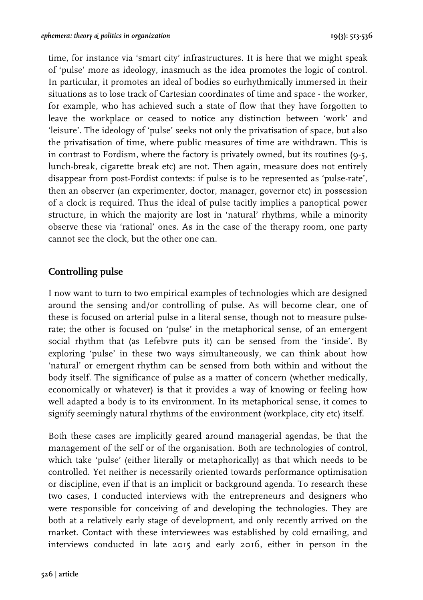time, for instance via 'smart city' infrastructures. It is here that we might speak of 'pulse' more as ideology, inasmuch as the idea promotes the logic of control. In particular, it promotes an ideal of bodies so eurhythmically immersed in their situations as to lose track of Cartesian coordinates of time and space - the worker, for example, who has achieved such a state of flow that they have forgotten to leave the workplace or ceased to notice any distinction between 'work' and 'leisure'. The ideology of 'pulse' seeks not only the privatisation of space, but also the privatisation of time, where public measures of time are withdrawn. This is in contrast to Fordism, where the factory is privately owned, but its routines (9-5, lunch-break, cigarette break etc) are not. Then again, measure does not entirely disappear from post-Fordist contexts: if pulse is to be represented as 'pulse-rate', then an observer (an experimenter, doctor, manager, governor etc) in possession of a clock is required. Thus the ideal of pulse tacitly implies a panoptical power structure, in which the majority are lost in 'natural' rhythms, while a minority observe these via 'rational' ones. As in the case of the therapy room, one party cannot see the clock, but the other one can.

#### **Controlling pulse**

I now want to turn to two empirical examples of technologies which are designed around the sensing and/or controlling of pulse. As will become clear, one of these is focused on arterial pulse in a literal sense, though not to measure pulserate; the other is focused on 'pulse' in the metaphorical sense, of an emergent social rhythm that (as Lefebvre puts it) can be sensed from the 'inside'. By exploring 'pulse' in these two ways simultaneously, we can think about how 'natural' or emergent rhythm can be sensed from both within and without the body itself. The significance of pulse as a matter of concern (whether medically, economically or whatever) is that it provides a way of knowing or feeling how well adapted a body is to its environment. In its metaphorical sense, it comes to signify seemingly natural rhythms of the environment (workplace, city etc) itself.

Both these cases are implicitly geared around managerial agendas, be that the management of the self or of the organisation. Both are technologies of control, which take 'pulse' (either literally or metaphorically) as that which needs to be controlled. Yet neither is necessarily oriented towards performance optimisation or discipline, even if that is an implicit or background agenda. To research these two cases, I conducted interviews with the entrepreneurs and designers who were responsible for conceiving of and developing the technologies. They are both at a relatively early stage of development, and only recently arrived on the market. Contact with these interviewees was established by cold emailing, and interviews conducted in late 2015 and early 2016, either in person in the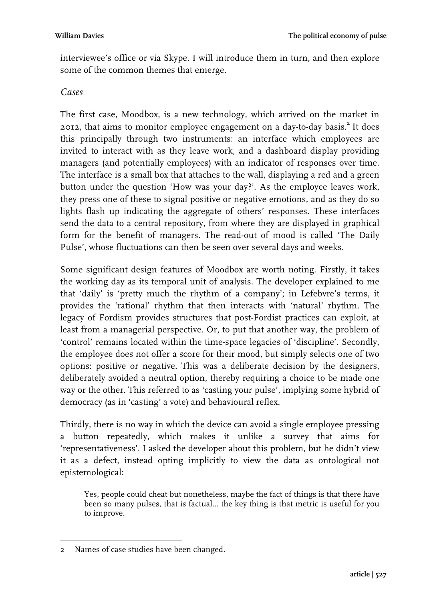interviewee's office or via Skype. I will introduce them in turn, and then explore some of the common themes that emerge.

#### *Cases*

The first case, Moodbox, is a new technology, which arrived on the market in  $2012$ , that aims to monitor employee engagement on a day-to-day basis.<sup>2</sup> It does this principally through two instruments: an interface which employees are invited to interact with as they leave work, and a dashboard display providing managers (and potentially employees) with an indicator of responses over time. The interface is a small box that attaches to the wall, displaying a red and a green button under the question 'How was your day?'. As the employee leaves work, they press one of these to signal positive or negative emotions, and as they do so lights flash up indicating the aggregate of others' responses. These interfaces send the data to a central repository, from where they are displayed in graphical form for the benefit of managers. The read-out of mood is called 'The Daily Pulse', whose fluctuations can then be seen over several days and weeks.

Some significant design features of Moodbox are worth noting. Firstly, it takes the working day as its temporal unit of analysis. The developer explained to me that 'daily' is 'pretty much the rhythm of a company'; in Lefebvre's terms, it provides the 'rational' rhythm that then interacts with 'natural' rhythm. The legacy of Fordism provides structures that post-Fordist practices can exploit, at least from a managerial perspective. Or, to put that another way, the problem of 'control' remains located within the time-space legacies of 'discipline'. Secondly, the employee does not offer a score for their mood, but simply selects one of two options: positive or negative. This was a deliberate decision by the designers, deliberately avoided a neutral option, thereby requiring a choice to be made one way or the other. This referred to as 'casting your pulse', implying some hybrid of democracy (as in 'casting' a vote) and behavioural reflex.

Thirdly, there is no way in which the device can avoid a single employee pressing a button repeatedly, which makes it unlike a survey that aims for 'representativeness'. I asked the developer about this problem, but he didn't view it as a defect, instead opting implicitly to view the data as ontological not epistemological:

Yes, people could cheat but nonetheless, maybe the fact of things is that there have been so many pulses, that is factual… the key thing is that metric is useful for you to improve.

 2 Names of case studies have been changed.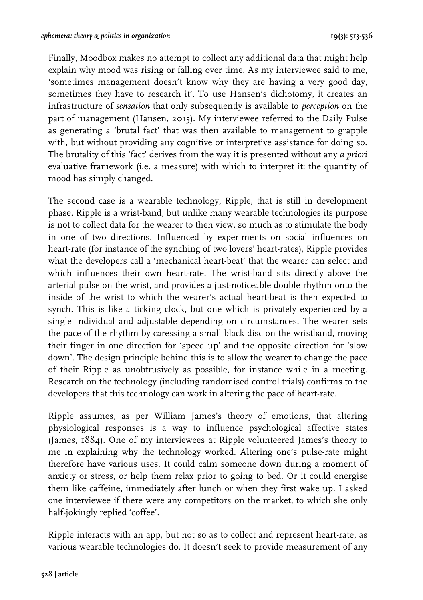Finally, Moodbox makes no attempt to collect any additional data that might help explain why mood was rising or falling over time. As my interviewee said to me, 'sometimes management doesn't know why they are having a very good day, sometimes they have to research it'. To use Hansen's dichotomy, it creates an infrastructure of *sensation* that only subsequently is available to *perception* on the part of management (Hansen, 2015). My interviewee referred to the Daily Pulse as generating a 'brutal fact' that was then available to management to grapple with, but without providing any cognitive or interpretive assistance for doing so. The brutality of this 'fact' derives from the way it is presented without any *a priori* evaluative framework (i.e. a measure) with which to interpret it: the quantity of mood has simply changed.

The second case is a wearable technology, Ripple, that is still in development phase. Ripple is a wrist-band, but unlike many wearable technologies its purpose is not to collect data for the wearer to then view, so much as to stimulate the body in one of two directions. Influenced by experiments on social influences on heart-rate (for instance of the synching of two lovers' heart-rates), Ripple provides what the developers call a 'mechanical heart-beat' that the wearer can select and which influences their own heart-rate. The wrist-band sits directly above the arterial pulse on the wrist, and provides a just-noticeable double rhythm onto the inside of the wrist to which the wearer's actual heart-beat is then expected to synch. This is like a ticking clock, but one which is privately experienced by a single individual and adjustable depending on circumstances. The wearer sets the pace of the rhythm by caressing a small black disc on the wristband, moving their finger in one direction for 'speed up' and the opposite direction for 'slow down'. The design principle behind this is to allow the wearer to change the pace of their Ripple as unobtrusively as possible, for instance while in a meeting. Research on the technology (including randomised control trials) confirms to the developers that this technology can work in altering the pace of heart-rate.

Ripple assumes, as per William James's theory of emotions, that altering physiological responses is a way to influence psychological affective states (James, 1884). One of my interviewees at Ripple volunteered James's theory to me in explaining why the technology worked. Altering one's pulse-rate might therefore have various uses. It could calm someone down during a moment of anxiety or stress, or help them relax prior to going to bed. Or it could energise them like caffeine, immediately after lunch or when they first wake up. I asked one interviewee if there were any competitors on the market, to which she only half-jokingly replied 'coffee'.

Ripple interacts with an app, but not so as to collect and represent heart-rate, as various wearable technologies do. It doesn't seek to provide measurement of any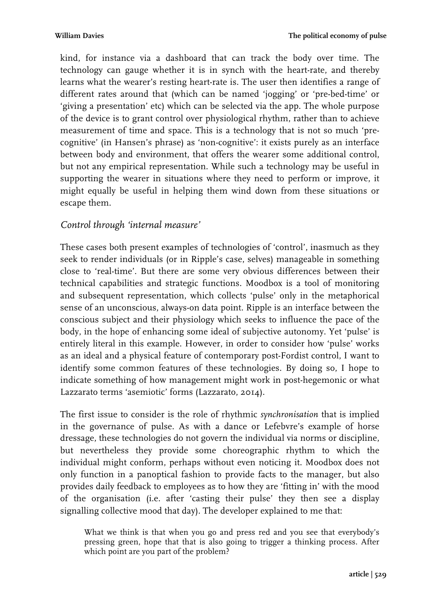kind, for instance via a dashboard that can track the body over time. The technology can gauge whether it is in synch with the heart-rate, and thereby learns what the wearer's resting heart-rate is. The user then identifies a range of different rates around that (which can be named 'jogging' or 'pre-bed-time' or 'giving a presentation' etc) which can be selected via the app. The whole purpose of the device is to grant control over physiological rhythm, rather than to achieve measurement of time and space. This is a technology that is not so much 'precognitive' (in Hansen's phrase) as 'non-cognitive': it exists purely as an interface between body and environment, that offers the wearer some additional control, but not any empirical representation. While such a technology may be useful in supporting the wearer in situations where they need to perform or improve, it might equally be useful in helping them wind down from these situations or escape them.

#### *Control through 'internal measure'*

These cases both present examples of technologies of 'control', inasmuch as they seek to render individuals (or in Ripple's case, selves) manageable in something close to 'real-time'. But there are some very obvious differences between their technical capabilities and strategic functions. Moodbox is a tool of monitoring and subsequent representation, which collects 'pulse' only in the metaphorical sense of an unconscious, always-on data point. Ripple is an interface between the conscious subject and their physiology which seeks to influence the pace of the body, in the hope of enhancing some ideal of subjective autonomy. Yet 'pulse' is entirely literal in this example. However, in order to consider how 'pulse' works as an ideal and a physical feature of contemporary post-Fordist control, I want to identify some common features of these technologies. By doing so, I hope to indicate something of how management might work in post-hegemonic or what Lazzarato terms 'asemiotic' forms (Lazzarato, 2014).

The first issue to consider is the role of rhythmic *synchronisation* that is implied in the governance of pulse. As with a dance or Lefebvre's example of horse dressage, these technologies do not govern the individual via norms or discipline, but nevertheless they provide some choreographic rhythm to which the individual might conform, perhaps without even noticing it. Moodbox does not only function in a panoptical fashion to provide facts to the manager, but also provides daily feedback to employees as to how they are 'fitting in' with the mood of the organisation (i.e. after 'casting their pulse' they then see a display signalling collective mood that day). The developer explained to me that:

What we think is that when you go and press red and you see that everybody's pressing green, hope that that is also going to trigger a thinking process. After which point are you part of the problem?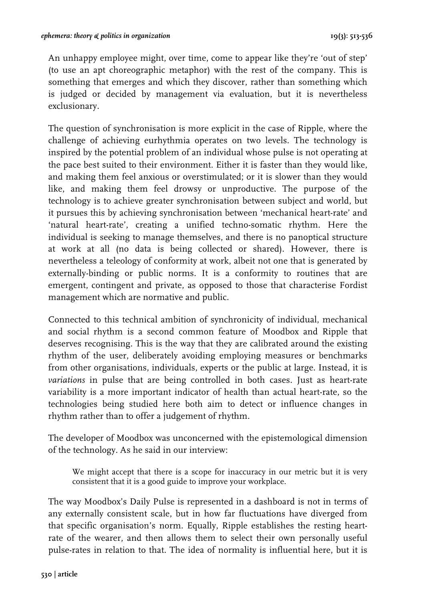An unhappy employee might, over time, come to appear like they're 'out of step' (to use an apt choreographic metaphor) with the rest of the company. This is something that emerges and which they discover, rather than something which is judged or decided by management via evaluation, but it is nevertheless exclusionary.

The question of synchronisation is more explicit in the case of Ripple, where the challenge of achieving eurhythmia operates on two levels. The technology is inspired by the potential problem of an individual whose pulse is not operating at the pace best suited to their environment. Either it is faster than they would like, and making them feel anxious or overstimulated; or it is slower than they would like, and making them feel drowsy or unproductive. The purpose of the technology is to achieve greater synchronisation between subject and world, but it pursues this by achieving synchronisation between 'mechanical heart-rate' and 'natural heart-rate', creating a unified techno-somatic rhythm. Here the individual is seeking to manage themselves, and there is no panoptical structure at work at all (no data is being collected or shared). However, there is nevertheless a teleology of conformity at work, albeit not one that is generated by externally-binding or public norms. It is a conformity to routines that are emergent, contingent and private, as opposed to those that characterise Fordist management which are normative and public.

Connected to this technical ambition of synchronicity of individual, mechanical and social rhythm is a second common feature of Moodbox and Ripple that deserves recognising. This is the way that they are calibrated around the existing rhythm of the user, deliberately avoiding employing measures or benchmarks from other organisations, individuals, experts or the public at large. Instead, it is *variations* in pulse that are being controlled in both cases. Just as heart-rate variability is a more important indicator of health than actual heart-rate, so the technologies being studied here both aim to detect or influence changes in rhythm rather than to offer a judgement of rhythm.

The developer of Moodbox was unconcerned with the epistemological dimension of the technology. As he said in our interview:

We might accept that there is a scope for inaccuracy in our metric but it is very consistent that it is a good guide to improve your workplace.

The way Moodbox's Daily Pulse is represented in a dashboard is not in terms of any externally consistent scale, but in how far fluctuations have diverged from that specific organisation's norm. Equally, Ripple establishes the resting heartrate of the wearer, and then allows them to select their own personally useful pulse-rates in relation to that. The idea of normality is influential here, but it is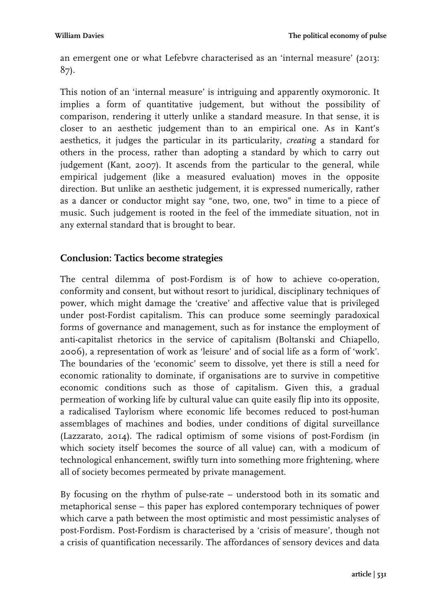an emergent one or what Lefebvre characterised as an 'internal measure' (2013: 87).

This notion of an 'internal measure' is intriguing and apparently oxymoronic. It implies a form of quantitative judgement, but without the possibility of comparison, rendering it utterly unlike a standard measure. In that sense, it is closer to an aesthetic judgement than to an empirical one. As in Kant's aesthetics, it judges the particular in its particularity, *creating* a standard for others in the process, rather than adopting a standard by which to carry out judgement (Kant, 2007). It ascends from the particular to the general, while empirical judgement (like a measured evaluation) moves in the opposite direction. But unlike an aesthetic judgement, it is expressed numerically, rather as a dancer or conductor might say "one, two, one, two" in time to a piece of music. Such judgement is rooted in the feel of the immediate situation, not in any external standard that is brought to bear.

#### **Conclusion: Tactics become strategies**

The central dilemma of post-Fordism is of how to achieve co-operation, conformity and consent, but without resort to juridical, disciplinary techniques of power, which might damage the 'creative' and affective value that is privileged under post-Fordist capitalism. This can produce some seemingly paradoxical forms of governance and management, such as for instance the employment of anti-capitalist rhetorics in the service of capitalism (Boltanski and Chiapello, 2006), a representation of work as 'leisure' and of social life as a form of 'work'. The boundaries of the 'economic' seem to dissolve, yet there is still a need for economic rationality to dominate, if organisations are to survive in competitive economic conditions such as those of capitalism. Given this, a gradual permeation of working life by cultural value can quite easily flip into its opposite, a radicalised Taylorism where economic life becomes reduced to post-human assemblages of machines and bodies, under conditions of digital surveillance (Lazzarato, 2014). The radical optimism of some visions of post-Fordism (in which society itself becomes the source of all value) can, with a modicum of technological enhancement, swiftly turn into something more frightening, where all of society becomes permeated by private management.

By focusing on the rhythm of pulse-rate – understood both in its somatic and metaphorical sense – this paper has explored contemporary techniques of power which carve a path between the most optimistic and most pessimistic analyses of post-Fordism. Post-Fordism is characterised by a 'crisis of measure', though not a crisis of quantification necessarily. The affordances of sensory devices and data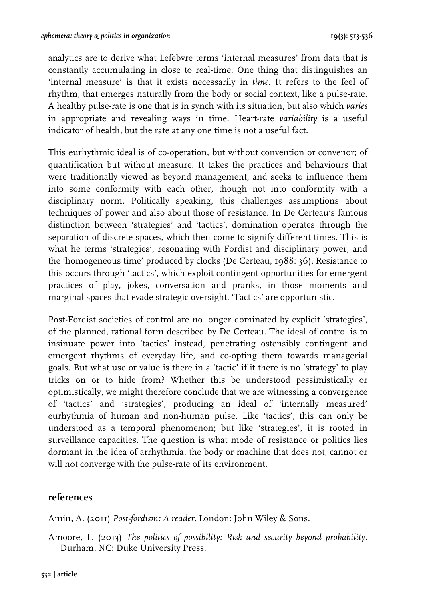analytics are to derive what Lefebvre terms 'internal measures' from data that is constantly accumulating in close to real-time. One thing that distinguishes an 'internal measure' is that it exists necessarily in *time*. It refers to the feel of rhythm, that emerges naturally from the body or social context, like a pulse-rate. A healthy pulse-rate is one that is in synch with its situation, but also which *varies* in appropriate and revealing ways in time. Heart-rate *variability* is a useful indicator of health, but the rate at any one time is not a useful fact.

This eurhythmic ideal is of co-operation, but without convention or convenor; of quantification but without measure. It takes the practices and behaviours that were traditionally viewed as beyond management, and seeks to influence them into some conformity with each other, though not into conformity with a disciplinary norm. Politically speaking, this challenges assumptions about techniques of power and also about those of resistance. In De Certeau's famous distinction between 'strategies' and 'tactics', domination operates through the separation of discrete spaces, which then come to signify different times. This is what he terms 'strategies', resonating with Fordist and disciplinary power, and the 'homogeneous time' produced by clocks (De Certeau, 1988: 36). Resistance to this occurs through 'tactics', which exploit contingent opportunities for emergent practices of play, jokes, conversation and pranks, in those moments and marginal spaces that evade strategic oversight. 'Tactics' are opportunistic.

Post-Fordist societies of control are no longer dominated by explicit 'strategies', of the planned, rational form described by De Certeau. The ideal of control is to insinuate power into 'tactics' instead, penetrating ostensibly contingent and emergent rhythms of everyday life, and co-opting them towards managerial goals. But what use or value is there in a 'tactic' if it there is no 'strategy' to play tricks on or to hide from? Whether this be understood pessimistically or optimistically, we might therefore conclude that we are witnessing a convergence of 'tactics' and 'strategies', producing an ideal of 'internally measured' eurhythmia of human and non-human pulse. Like 'tactics', this can only be understood as a temporal phenomenon; but like 'strategies', it is rooted in surveillance capacities. The question is what mode of resistance or politics lies dormant in the idea of arrhythmia, the body or machine that does not, cannot or will not converge with the pulse-rate of its environment.

#### **references**

Amin, A. (2011) *Post-fordism: A reader*. London: John Wiley & Sons.

Amoore, L. (2013) *The politics of possibility: Risk and security beyond probability.*  Durham, NC: Duke University Press.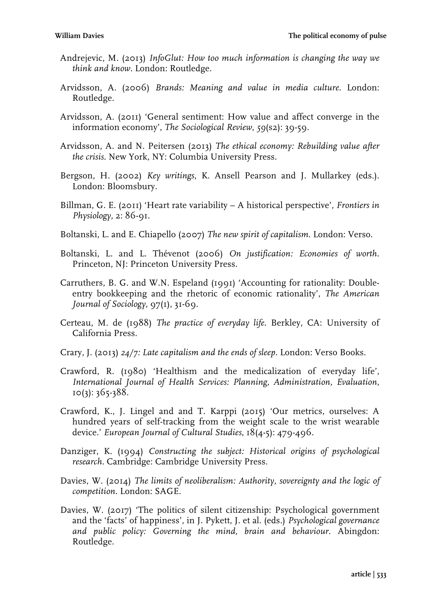- Andrejevic, M. (2013) *InfoGlut: How too much information is changing the way we think and know.* London: Routledge.
- Arvidsson, A. (2006) *Brands: Meaning and value in media culture.* London: Routledge.
- Arvidsson, A. (2011) 'General sentiment: How value and affect converge in the information economy', *The Sociological Review*, *59*(s2): 39-59.
- Arvidsson, A. and N. Peitersen (2013) *The ethical economy: Rebuilding value after the crisis*. New York, NY: Columbia University Press.
- Bergson, H. (2002) *Key writings*, K. Ansell Pearson and J. Mullarkey (eds.). London: Bloomsbury.
- Billman, G. E. (2011) 'Heart rate variability A historical perspective', *Frontiers in Physiology*, 2: 86-91.
- Boltanski, L. and E. Chiapello (2007) *The new spirit of capitalism*. London: Verso.
- Boltanski, L. and L. Thévenot (2006) *On justification: Economies of worth*. Princeton, NJ: Princeton University Press.
- Carruthers, B. G. and W.N. Espeland (1991) 'Accounting for rationality: Doubleentry bookkeeping and the rhetoric of economic rationality', *The American Journal of Sociology*, 97(1), 31-69.
- Certeau, M. de (1988) *The practice of everyday life*. Berkley, CA: University of California Press.
- Crary, J. (2013) *24/7: Late capitalism and the ends of sleep.* London: Verso Books.
- Crawford, R. (1980) 'Healthism and the medicalization of everyday life', *International Journal of Health Services: Planning, Administration, Evaluation*,  $10(3): 365-388.$
- Crawford, K., J. Lingel and and T. Karppi (2015) 'Our metrics, ourselves: A hundred years of self-tracking from the weight scale to the wrist wearable device.' *European Journal of Cultural Studies*, 18(4-5): 479-496.
- Danziger, K. (1994) *Constructing the subject: Historical origins of psychological research.* Cambridge: Cambridge University Press.
- Davies, W. (2014) *The limits of neoliberalism: Authority, sovereignty and the logic of competition.* London: SAGE.
- Davies, W. (2017) 'The politics of silent citizenship: Psychological government and the 'facts' of happiness', in J. Pykett, J. et al. (eds.) *Psychological governance and public policy: Governing the mind, brain and behaviour*. Abingdon: Routledge.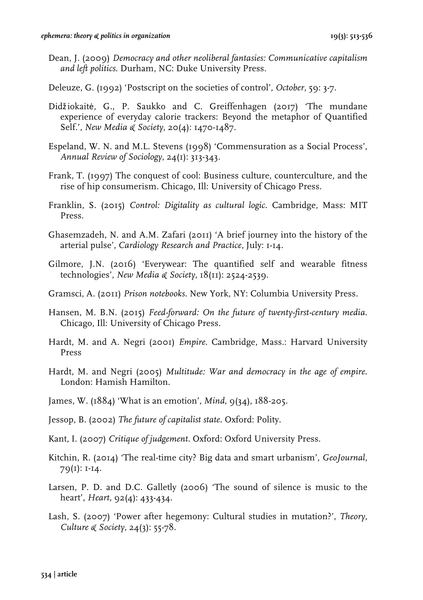- Dean, J. (2009) *Democracy and other neoliberal fantasies: Communicative capitalism and left politics*. Durham, NC: Duke University Press.
- Deleuze, G. (1992) 'Postscript on the societies of control', *October*, 59: 3-7.
- Didžiokaitė, G., P. Saukko and C. Greiffenhagen (2017) 'The mundane experience of everyday calorie trackers: Beyond the metaphor of Quantified Self.', *New Media & Society*, 20(4): 1470-1487.
- Espeland, W. N. and M.L. Stevens (1998) 'Commensuration as a Social Process', *Annual Review of Sociology*, 24(1): 313-343.
- Frank, T. (1997) The conquest of cool: Business culture, counterculture, and the rise of hip consumerism. Chicago, Ill: University of Chicago Press.
- Franklin, S. (2015) *Control: Digitality as cultural logic*. Cambridge, Mass: MIT Press.
- Ghasemzadeh, N. and A.M. Zafari (2011) 'A brief journey into the history of the arterial pulse', *Cardiology Research and Practice*, July: 1-14.
- Gilmore, J.N. (2016) 'Everywear: The quantified self and wearable fitness technologies', *New Media & Society*, 18(11): 2524-2539.
- Gramsci, A. (2011) *Prison notebooks*. New York, NY: Columbia University Press.
- Hansen, M. B.N. (2015) *Feed-forward: On the future of twenty-first-century media*. Chicago, Ill: University of Chicago Press.
- Hardt, M. and A. Negri (2001) *Empire*. Cambridge, Mass.: Harvard University Press
- Hardt, M. and Negri (2005) *Multitude: War and democracy in the age of empire*. London: Hamish Hamilton.
- James, W. (1884) 'What is an emotion', *Mind*, 9(34), 188-205.
- Jessop, B. (2002) *The future of capitalist state*. Oxford: Polity.
- Kant, I. (2007) *Critique of judgement*. Oxford: Oxford University Press.
- Kitchin, R. (2014) 'The real-time city? Big data and smart urbanism', *GeoJournal*, 79(1): 1-14.
- Larsen, P. D. and D.C. Galletly (2006) 'The sound of silence is music to the heart', *Heart*, 92(4): 433-434.
- Lash, S. (2007) 'Power after hegemony: Cultural studies in mutation?', *Theory, Culture & Society*, 24(3): 55-78.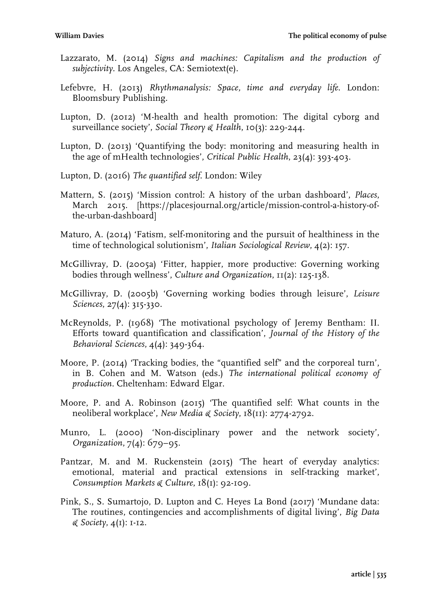- Lazzarato, M. (2014) *Signs and machines: Capitalism and the production of subjectivity.* Los Angeles, CA: Semiotext(e).
- Lefebvre, H. (2013) *Rhythmanalysis: Space, time and everyday life*. London: Bloomsbury Publishing.
- Lupton, D. (2012) 'M-health and health promotion: The digital cyborg and surveillance society', *Social Theory & Health*, 10(3): 229-244.
- Lupton, D. (2013) 'Quantifying the body: monitoring and measuring health in the age of mHealth technologies', *Critical Public Health*, 23(4): 393-403.
- Lupton, D. (2016) *The quantified self*. London: Wiley
- Mattern, S. (2015) 'Mission control: A history of the urban dashboard', *Places*, March 2015. [https://placesjournal.org/article/mission-control-a-history-ofthe-urban-dashboard]
- Maturo, A. (2014) 'Fatism, self-monitoring and the pursuit of healthiness in the time of technological solutionism', *Italian Sociological Review*, 4(2): 157.
- McGillivray, D. (2005a) 'Fitter, happier, more productive: Governing working bodies through wellness', *Culture and Organization*, 11(2): 125-138.
- McGillivray, D. (2005b) 'Governing working bodies through leisure', *Leisure Sciences*, 27(4): 315-330.
- McReynolds, P. (1968) 'The motivational psychology of Jeremy Bentham: II. Efforts toward quantification and classification', *Journal of the History of the Behavioral Sciences*, 4(4): 349-364.
- Moore, P. (2014) 'Tracking bodies, the "quantified self" and the corporeal turn', in B. Cohen and M. Watson (eds.) *The international political economy of production*. Cheltenham: Edward Elgar.
- Moore, P. and A. Robinson (2015) 'The quantified self: What counts in the neoliberal workplace', *New Media & Society*, 18(11): 2774-2792.
- Munro, L. (2000) 'Non-disciplinary power and the network society', *Organization*, 7(4): 679–95.
- Pantzar, M. and M. Ruckenstein (2015) 'The heart of everyday analytics: emotional, material and practical extensions in self-tracking market', *Consumption Markets & Culture*, 18(1): 92-109.
- Pink, S., S. Sumartojo, D. Lupton and C. Heyes La Bond (2017) 'Mundane data: The routines, contingencies and accomplishments of digital living', *Big Data & Society*, 4(1): 1-12.